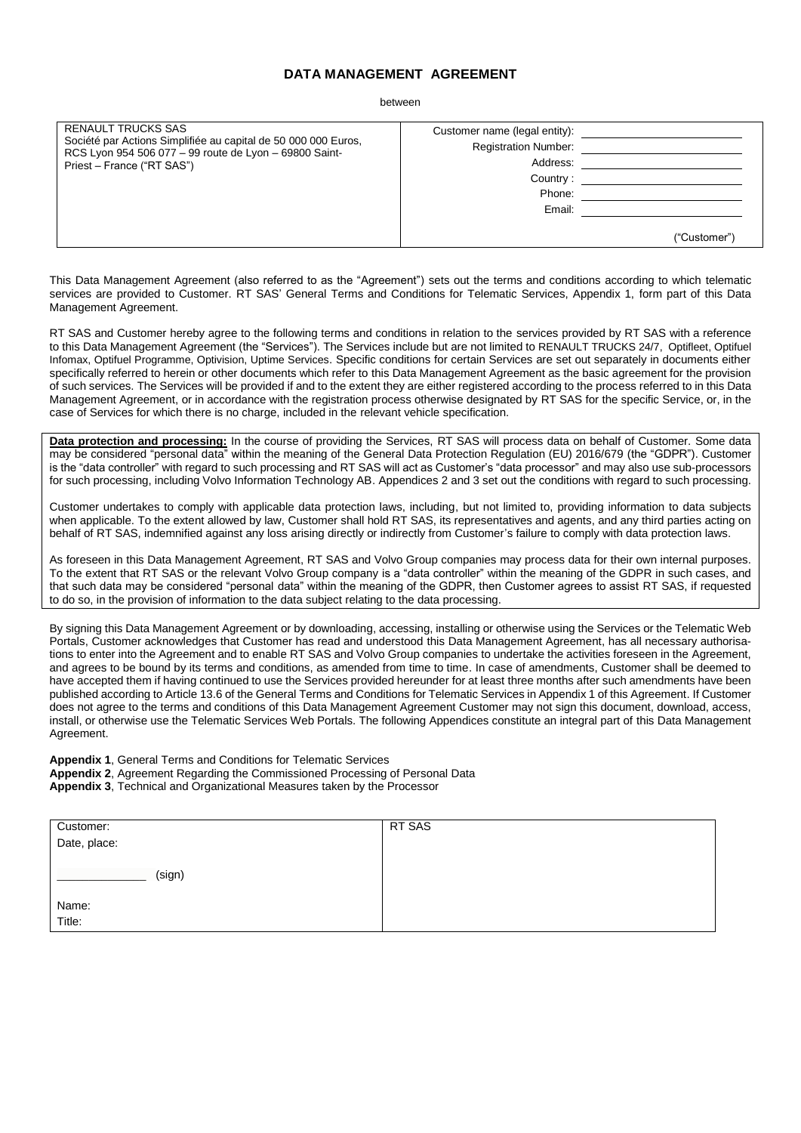# **DATA MANAGEMENT AGREEMENT**

between

| <b>RENAULT TRUCKS SAS</b><br>Société par Actions Simplifiée au capital de 50 000 000 Euros,<br>RCS Lyon 954 506 077 - 99 route de Lyon - 69800 Saint-<br>Priest - France ("RT SAS") | Customer name (legal entity):<br><b>Registration Number:</b><br>Address:<br>Country:<br>Phone:<br>Email: |              |
|-------------------------------------------------------------------------------------------------------------------------------------------------------------------------------------|----------------------------------------------------------------------------------------------------------|--------------|
|                                                                                                                                                                                     |                                                                                                          | ("Customer") |

This Data Management Agreement (also referred to as the "Agreement") sets out the terms and conditions according to which telematic services are provided to Customer. RT SAS' General Terms and Conditions for Telematic Services, Appendix 1, form part of this Data Management Agreement.

RT SAS and Customer hereby agree to the following terms and conditions in relation to the services provided by RT SAS with a reference to this Data Management Agreement (the "Services"). The Services include but are not limited to RENAULT TRUCKS 24/7, Optifleet, Optifuel Infomax, Optifuel Programme, Optivision, Uptime Services. Specific conditions for certain Services are set out separately in documents either specifically referred to herein or other documents which refer to this Data Management Agreement as the basic agreement for the provision of such services. The Services will be provided if and to the extent they are either registered according to the process referred to in this Data Management Agreement, or in accordance with the registration process otherwise designated by RT SAS for the specific Service, or, in the case of Services for which there is no charge, included in the relevant vehicle specification.

**Data protection and processing:** In the course of providing the Services, RT SAS will process data on behalf of Customer. Some data may be considered "personal data" within the meaning of the General Data Protection Regulation (EU) 2016/679 (the "GDPR"). Customer is the "data controller" with regard to such processing and RT SAS will act as Customer's "data processor" and may also use sub-processors for such processing, including Volvo Information Technology AB. Appendices 2 and 3 set out the conditions with regard to such processing.

Customer undertakes to comply with applicable data protection laws, including, but not limited to, providing information to data subjects when applicable. To the extent allowed by law, Customer shall hold RT SAS, its representatives and agents, and any third parties acting on behalf of RT SAS, indemnified against any loss arising directly or indirectly from Customer's failure to comply with data protection laws.

As foreseen in this Data Management Agreement, RT SAS and Volvo Group companies may process data for their own internal purposes. To the extent that RT SAS or the relevant Volvo Group company is a "data controller" within the meaning of the GDPR in such cases, and that such data may be considered "personal data" within the meaning of the GDPR, then Customer agrees to assist RT SAS, if requested to do so, in the provision of information to the data subject relating to the data processing.

By signing this Data Management Agreement or by downloading, accessing, installing or otherwise using the Services or the Telematic Web Portals, Customer acknowledges that Customer has read and understood this Data Management Agreement, has all necessary authorisations to enter into the Agreement and to enable RT SAS and Volvo Group companies to undertake the activities foreseen in the Agreement, and agrees to be bound by its terms and conditions, as amended from time to time. In case of amendments, Customer shall be deemed to have accepted them if having continued to use the Services provided hereunder for at least three months after such amendments have been published according to Articl[e 13.6](#page-5-0) of the General Terms and Conditions for Telematic Services in Appendix 1 of this Agreement. If Customer does not agree to the terms and conditions of this Data Management Agreement Customer may not sign this document, download, access, install, or otherwise use the Telematic Services Web Portals. The following Appendices constitute an integral part of this Data Management Agreement.

**Appendix 1**, General Terms and Conditions for Telematic Services

**Appendix 2**, Agreement Regarding the Commissioned Processing of Personal Data

**Appendix 3**, Technical and Organizational Measures taken by the Processor

| Customer:    | RT SAS |
|--------------|--------|
| Date, place: |        |
|              |        |
| (sign)       |        |
|              |        |
| Name:        |        |
| Title:       |        |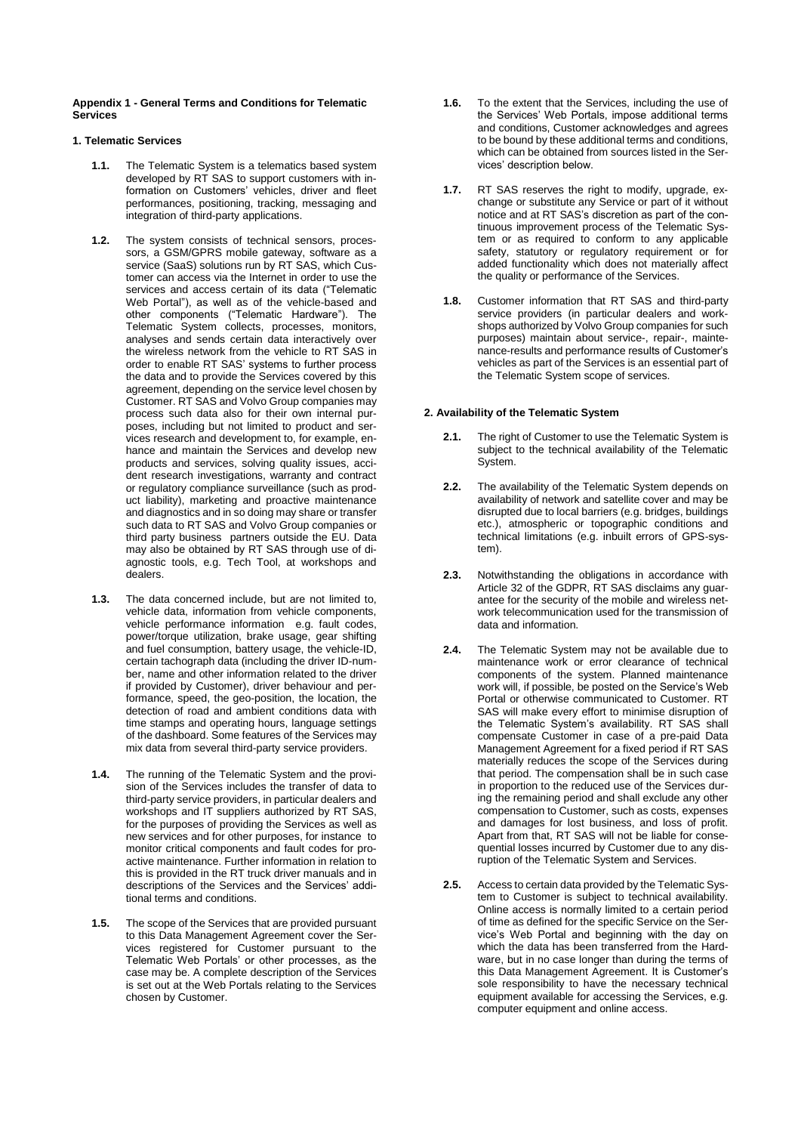### **Appendix 1 - General Terms and Conditions for Telematic Services**

# **1. Telematic Services**

- **1.1.** The Telematic System is a telematics based system developed by RT SAS to support customers with information on Customers' vehicles, driver and fleet performances, positioning, tracking, messaging and integration of third-party applications.
- <span id="page-1-0"></span>**1.2.** The system consists of technical sensors, processors, a GSM/GPRS mobile gateway, software as a service (SaaS) solutions run by RT SAS, which Customer can access via the Internet in order to use the services and access certain of its data ("Telematic Web Portal"), as well as of the vehicle-based and other components ("Telematic Hardware"). The Telematic System collects, processes, monitors, analyses and sends certain data interactively over the wireless network from the vehicle to RT SAS in order to enable RT SAS' systems to further process the data and to provide the Services covered by this agreement, depending on the service level chosen by Customer. RT SAS and Volvo Group companies may process such data also for their own internal purposes, including but not limited to product and services research and development to, for example, enhance and maintain the Services and develop new products and services, solving quality issues, accident research investigations, warranty and contract or regulatory compliance surveillance (such as product liability), marketing and proactive maintenance and diagnostics and in so doing may share or transfer such data to RT SAS and Volvo Group companies or third party business partners outside the EU. Data may also be obtained by RT SAS through use of diagnostic tools, e.g. Tech Tool, at workshops and dealers.
- **1.3.** The data concerned include, but are not limited to, vehicle data, information from vehicle components, vehicle performance information e.g. fault codes, power/torque utilization, brake usage, gear shifting and fuel consumption, battery usage, the vehicle-ID, certain tachograph data (including the driver ID-number, name and other information related to the driver if provided by Customer), driver behaviour and performance, speed, the geo-position, the location, the detection of road and ambient conditions data with time stamps and operating hours, language settings of the dashboard. Some features of the Services may mix data from several third-party service providers.
- **1.4.** The running of the Telematic System and the provision of the Services includes the transfer of data to third-party service providers, in particular dealers and workshops and IT suppliers authorized by RT SAS, for the purposes of providing the Services as well as new services and for other purposes, for instance to monitor critical components and fault codes for proactive maintenance. Further information in relation to this is provided in the RT truck driver manuals and in descriptions of the Services and the Services' additional terms and conditions.
- **1.5.** The scope of the Services that are provided pursuant to this Data Management Agreement cover the Services registered for Customer pursuant to the Telematic Web Portals' or other processes, as the case may be. A complete description of the Services is set out at the Web Portals relating to the Services chosen by Customer.
- **1.6.** To the extent that the Services, including the use of the Services' Web Portals, impose additional terms and conditions, Customer acknowledges and agrees to be bound by these additional terms and conditions, which can be obtained from sources listed in the Services' description below.
- **1.7.** RT SAS reserves the right to modify, upgrade, exchange or substitute any Service or part of it without notice and at RT SAS's discretion as part of the continuous improvement process of the Telematic System or as required to conform to any applicable safety, statutory or regulatory requirement or for added functionality which does not materially affect the quality or performance of the Services.
- **1.8.** Customer information that RT SAS and third-party service providers (in particular dealers and workshops authorized by Volvo Group companies for such purposes) maintain about service-, repair-, maintenance-results and performance results of Customer's vehicles as part of the Services is an essential part of the Telematic System scope of services.

# **2. Availability of the Telematic System**

- **2.1.** The right of Customer to use the Telematic System is subject to the technical availability of the Telematic System.
- **2.2.** The availability of the Telematic System depends on availability of network and satellite cover and may be disrupted due to local barriers (e.g. bridges, buildings etc.), atmospheric or topographic conditions and technical limitations (e.g. inbuilt errors of GPS-system).
- **2.3.** Notwithstanding the obligations in accordance with Article 32 of the GDPR, RT SAS disclaims any guarantee for the security of the mobile and wireless network telecommunication used for the transmission of data and information.
- **2.4.** The Telematic System may not be available due to maintenance work or error clearance of technical components of the system. Planned maintenance work will, if possible, be posted on the Service's Web Portal or otherwise communicated to Customer. RT SAS will make every effort to minimise disruption of the Telematic System's availability. RT SAS shall compensate Customer in case of a pre-paid Data Management Agreement for a fixed period if RT SAS materially reduces the scope of the Services during that period. The compensation shall be in such case in proportion to the reduced use of the Services during the remaining period and shall exclude any other compensation to Customer, such as costs, expenses and damages for lost business, and loss of profit. Apart from that, RT SAS will not be liable for consequential losses incurred by Customer due to any disruption of the Telematic System and Services.
- **2.5.** Access to certain data provided by the Telematic System to Customer is subject to technical availability. Online access is normally limited to a certain period of time as defined for the specific Service on the Service's Web Portal and beginning with the day on which the data has been transferred from the Hardware, but in no case longer than during the terms of this Data Management Agreement. It is Customer's sole responsibility to have the necessary technical equipment available for accessing the Services, e.g. computer equipment and online access.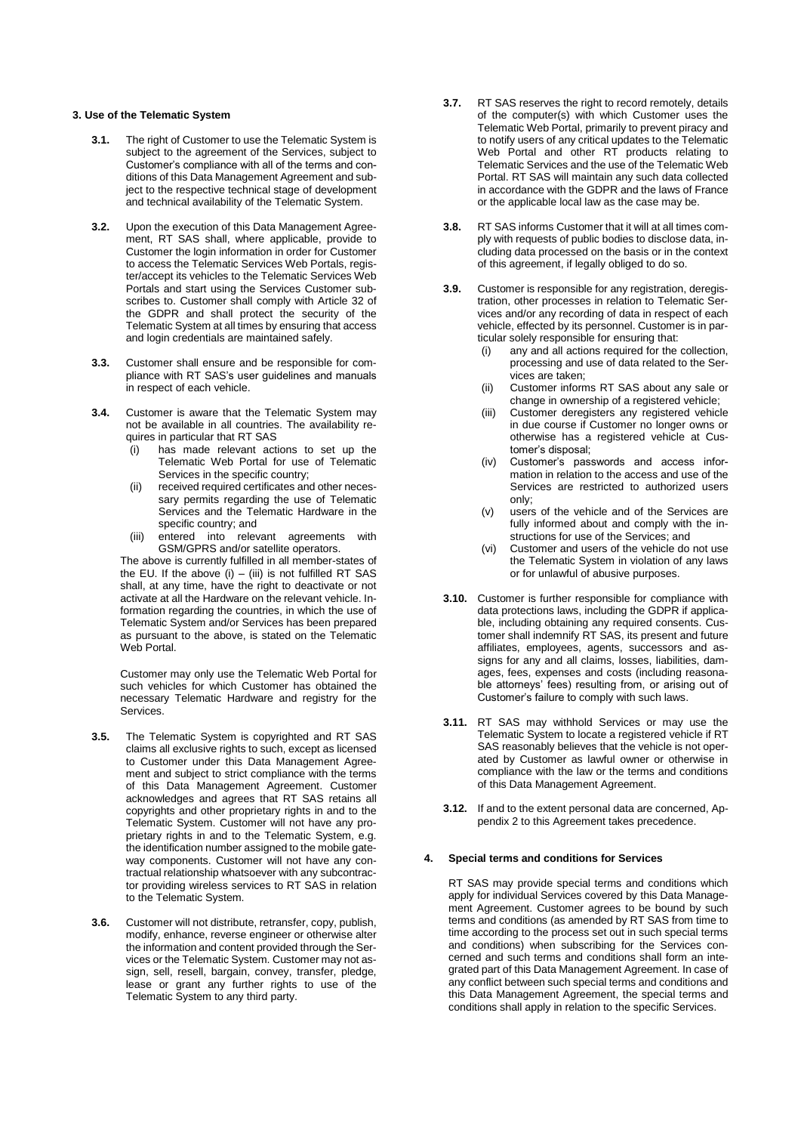# **3. Use of the Telematic System**

- **3.1.** The right of Customer to use the Telematic System is subject to the agreement of the Services, subject to Customer's compliance with all of the terms and conditions of this Data Management Agreement and subject to the respective technical stage of development and technical availability of the Telematic System.
- **3.2.** Upon the execution of this Data Management Agreement, RT SAS shall, where applicable, provide to Customer the login information in order for Customer to access the Telematic Services Web Portals, register/accept its vehicles to the Telematic Services Web Portals and start using the Services Customer subscribes to. Customer shall comply with Article 32 of the GDPR and shall protect the security of the Telematic System at all times by ensuring that access and login credentials are maintained safely.
- **3.3.** Customer shall ensure and be responsible for compliance with RT SAS's user guidelines and manuals in respect of each vehicle.
- **3.4.** Customer is aware that the Telematic System may not be available in all countries. The availability requires in particular that RT SAS
	- (i) has made relevant actions to set up the Telematic Web Portal for use of Telematic Services in the specific country;
	- (ii) received required certificates and other necessary permits regarding the use of Telematic Services and the Telematic Hardware in the specific country; and
	- entered into relevant agreements with GSM/GPRS and/or satellite operators.

The above is currently fulfilled in all member-states of the EU. If the above  $(i) - (iii)$  is not fulfilled RT SAS shall, at any time, have the right to deactivate or not activate at all the Hardware on the relevant vehicle. Information regarding the countries, in which the use of Telematic System and/or Services has been prepared as pursuant to the above, is stated on the Telematic Web Portal.

Customer may only use the Telematic Web Portal for such vehicles for which Customer has obtained the necessary Telematic Hardware and registry for the Services.

- **3.5.** The Telematic System is copyrighted and RT SAS claims all exclusive rights to such, except as licensed to Customer under this Data Management Agreement and subject to strict compliance with the terms of this Data Management Agreement. Customer acknowledges and agrees that RT SAS retains all copyrights and other proprietary rights in and to the Telematic System. Customer will not have any proprietary rights in and to the Telematic System, e.g. the identification number assigned to the mobile gateway components. Customer will not have any contractual relationship whatsoever with any subcontractor providing wireless services to RT SAS in relation to the Telematic System.
- **3.6.** Customer will not distribute, retransfer, copy, publish, modify, enhance, reverse engineer or otherwise alter the information and content provided through the Services or the Telematic System. Customer may not assign, sell, resell, bargain, convey, transfer, pledge, lease or grant any further rights to use of the Telematic System to any third party.
- **3.7.** RT SAS reserves the right to record remotely, details of the computer(s) with which Customer uses the Telematic Web Portal, primarily to prevent piracy and to notify users of any critical updates to the Telematic Web Portal and other RT products relating to Telematic Services and the use of the Telematic Web Portal. RT SAS will maintain any such data collected in accordance with the GDPR and the laws of France or the applicable local law as the case may be.
- **3.8.** RT SAS informs Customer that it will at all times comply with requests of public bodies to disclose data, including data processed on the basis or in the context of this agreement, if legally obliged to do so.
- **3.9.** Customer is responsible for any registration, deregistration, other processes in relation to Telematic Services and/or any recording of data in respect of each vehicle, effected by its personnel. Customer is in particular solely responsible for ensuring that:
	- (i) any and all actions required for the collection, processing and use of data related to the Services are taken;
	- (ii) Customer informs RT SAS about any sale or change in ownership of a registered vehicle;
	- (iii) Customer deregisters any registered vehicle in due course if Customer no longer owns or otherwise has a registered vehicle at Customer's disposal;
	- (iv) Customer's passwords and access information in relation to the access and use of the Services are restricted to authorized users only;
	- (v) users of the vehicle and of the Services are fully informed about and comply with the instructions for use of the Services; and
	- (vi) Customer and users of the vehicle do not use the Telematic System in violation of any laws or for unlawful of abusive purposes.
- **3.10.** Customer is further responsible for compliance with data protections laws, including the GDPR if applicable, including obtaining any required consents. Customer shall indemnify RT SAS, its present and future affiliates, employees, agents, successors and assigns for any and all claims, losses, liabilities, damages, fees, expenses and costs (including reasonable attorneys' fees) resulting from, or arising out of Customer's failure to comply with such laws.
- **3.11.** RT SAS may withhold Services or may use the Telematic System to locate a registered vehicle if RT SAS reasonably believes that the vehicle is not operated by Customer as lawful owner or otherwise in compliance with the law or the terms and conditions of this Data Management Agreement.
- **3.12.** If and to the extent personal data are concerned, Appendix 2 to this Agreement takes precedence.

#### **4. Special terms and conditions for Services**

RT SAS may provide special terms and conditions which apply for individual Services covered by this Data Management Agreement. Customer agrees to be bound by such terms and conditions (as amended by RT SAS from time to time according to the process set out in such special terms and conditions) when subscribing for the Services concerned and such terms and conditions shall form an integrated part of this Data Management Agreement. In case of any conflict between such special terms and conditions and this Data Management Agreement, the special terms and conditions shall apply in relation to the specific Services.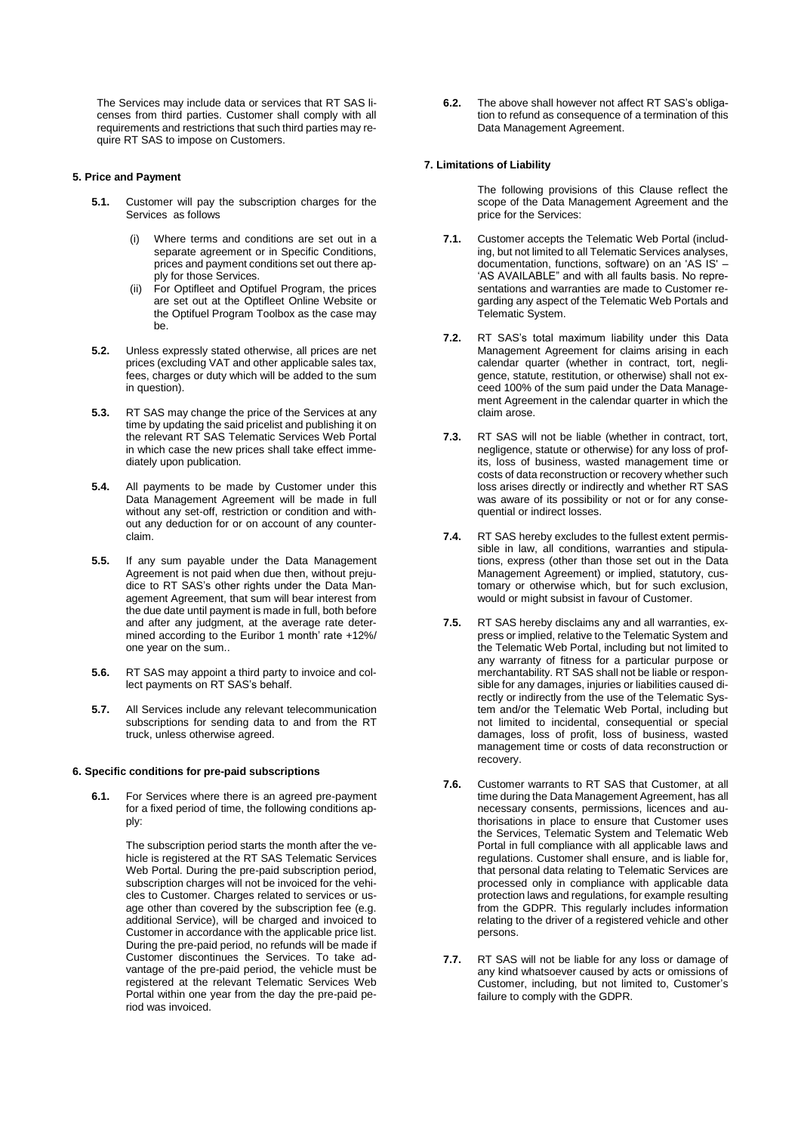The Services may include data or services that RT SAS licenses from third parties. Customer shall comply with all requirements and restrictions that such third parties may require RT SAS to impose on Customers.

### **5. Price and Payment**

- **5.1.** Customer will pay the subscription charges for the Services as follows
	- (i) Where terms and conditions are set out in a separate agreement or in Specific Conditions, prices and payment conditions set out there apply for those Services.
	- (ii) For Optifleet and Optifuel Program, the prices are set out at the Optifleet Online Website or the Optifuel Program Toolbox as the case may be.
- **5.2.** Unless expressly stated otherwise, all prices are net prices (excluding VAT and other applicable sales tax, fees, charges or duty which will be added to the sum in question).
- **5.3.** RT SAS may change the price of the Services at any time by updating the said pricelist and publishing it on the relevant RT SAS Telematic Services Web Portal in which case the new prices shall take effect immediately upon publication.
- **5.4.** All payments to be made by Customer under this Data Management Agreement will be made in full without any set-off, restriction or condition and without any deduction for or on account of any counterclaim.
- **5.5.** If any sum payable under the Data Management Agreement is not paid when due then, without prejudice to RT SAS's other rights under the Data Management Agreement, that sum will bear interest from the due date until payment is made in full, both before and after any judgment, at the average rate determined according to the Euribor 1 month' rate +12%/ one year on the sum..
- **5.6.** RT SAS may appoint a third party to invoice and collect payments on RT SAS's behalf.
- **5.7.** All Services include any relevant telecommunication subscriptions for sending data to and from the RT truck, unless otherwise agreed.

# **6. Specific conditions for pre-paid subscriptions**

**6.1.** For Services where there is an agreed pre-payment for a fixed period of time, the following conditions apply:

> The subscription period starts the month after the vehicle is registered at the RT SAS Telematic Services Web Portal. During the pre-paid subscription period, subscription charges will not be invoiced for the vehicles to Customer. Charges related to services or usage other than covered by the subscription fee (e.g. additional Service), will be charged and invoiced to Customer in accordance with the applicable price list. During the pre-paid period, no refunds will be made if Customer discontinues the Services. To take advantage of the pre-paid period, the vehicle must be registered at the relevant Telematic Services Web Portal within one year from the day the pre-paid period was invoiced.

**6.2.** The above shall however not affect RT SAS's obligation to refund as consequence of a termination of this Data Management Agreement.

#### **7. Limitations of Liability**

The following provisions of this Clause reflect the scope of the Data Management Agreement and the price for the Services:

- **7.1.** Customer accepts the Telematic Web Portal (including, but not limited to all Telematic Services analyses, documentation, functions, software) on an 'AS IS' – 'AS AVAILABLE" and with all faults basis. No representations and warranties are made to Customer regarding any aspect of the Telematic Web Portals and Telematic System.
- **7.2.** RT SAS's total maximum liability under this Data Management Agreement for claims arising in each calendar quarter (whether in contract, tort, negligence, statute, restitution, or otherwise) shall not exceed 100% of the sum paid under the Data Management Agreement in the calendar quarter in which the claim arose.
- **7.3.** RT SAS will not be liable (whether in contract, tort, negligence, statute or otherwise) for any loss of profits, loss of business, wasted management time or costs of data reconstruction or recovery whether such loss arises directly or indirectly and whether RT SAS was aware of its possibility or not or for any consequential or indirect losses.
- **7.4.** RT SAS hereby excludes to the fullest extent permissible in law, all conditions, warranties and stipulations, express (other than those set out in the Data Management Agreement) or implied, statutory, customary or otherwise which, but for such exclusion, would or might subsist in favour of Customer.
- **7.5.** RT SAS hereby disclaims any and all warranties, express or implied, relative to the Telematic System and the Telematic Web Portal, including but not limited to any warranty of fitness for a particular purpose or merchantability. RT SAS shall not be liable or responsible for any damages, injuries or liabilities caused directly or indirectly from the use of the Telematic System and/or the Telematic Web Portal, including but not limited to incidental, consequential or special damages, loss of profit, loss of business, wasted management time or costs of data reconstruction or recovery.
- **7.6.** Customer warrants to RT SAS that Customer, at all time during the Data Management Agreement, has all necessary consents, permissions, licences and authorisations in place to ensure that Customer uses the Services, Telematic System and Telematic Web Portal in full compliance with all applicable laws and regulations. Customer shall ensure, and is liable for, that personal data relating to Telematic Services are processed only in compliance with applicable data protection laws and regulations, for example resulting from the GDPR. This regularly includes information relating to the driver of a registered vehicle and other persons.
- **7.7.** RT SAS will not be liable for any loss or damage of any kind whatsoever caused by acts or omissions of Customer, including, but not limited to, Customer's failure to comply with the GDPR.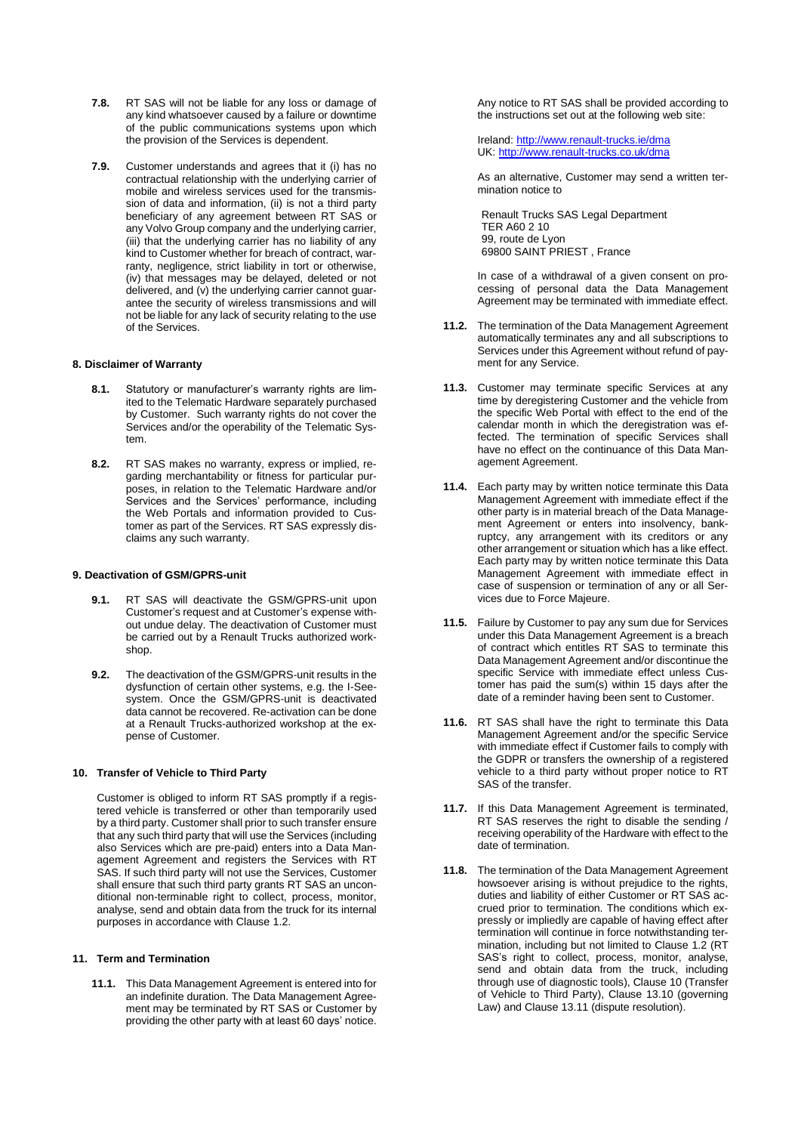- **7.8.** RT SAS will not be liable for any loss or damage of any kind whatsoever caused by a failure or downtime of the public communications systems upon which the provision of the Services is dependent.
- **7.9.** Customer understands and agrees that it (i) has no contractual relationship with the underlying carrier of mobile and wireless services used for the transmission of data and information, (ii) is not a third party beneficiary of any agreement between RT SAS or any Volvo Group company and the underlying carrier, (iii) that the underlying carrier has no liability of any kind to Customer whether for breach of contract, warranty, negligence, strict liability in tort or otherwise, (iv) that messages may be delayed, deleted or not delivered, and (v) the underlying carrier cannot quarantee the security of wireless transmissions and will not be liable for any lack of security relating to the use of the Services.

# **8. Disclaimer of Warranty**

- **8.1.** Statutory or manufacturer's warranty rights are limited to the Telematic Hardware separately purchased by Customer. Such warranty rights do not cover the Services and/or the operability of the Telematic System.
- **8.2.** RT SAS makes no warranty, express or implied, regarding merchantability or fitness for particular purposes, in relation to the Telematic Hardware and/or Services and the Services' performance, including the Web Portals and information provided to Customer as part of the Services. RT SAS expressly disclaims any such warranty.

# **9. Deactivation of GSM/GPRS-unit**

- **9.1.** RT SAS will deactivate the GSM/GPRS-unit upon Customer's request and at Customer's expense without undue delay. The deactivation of Customer must be carried out by a Renault Trucks authorized workshop.
- **9.2.** The deactivation of the GSM/GPRS-unit results in the dysfunction of certain other systems, e.g. the I-Seesystem. Once the GSM/GPRS-unit is deactivated data cannot be recovered. Re-activation can be done at a Renault Trucks-authorized workshop at the expense of Customer.

# <span id="page-4-0"></span>**10. Transfer of Vehicle to Third Party**

Customer is obliged to inform RT SAS promptly if a registered vehicle is transferred or other than temporarily used by a third party. Customer shall prior to such transfer ensure that any such third party that will use the Services (including also Services which are pre-paid) enters into a Data Management Agreement and registers the Services with RT SAS. If such third party will not use the Services, Customer shall ensure that such third party grants RT SAS an unconditional non-terminable right to collect, process, monitor, analyse, send and obtain data from the truck for its internal purposes in accordance with Claus[e 1.2.](#page-1-0)

#### **11. Term and Termination**

**11.1.** This Data Management Agreement is entered into for an indefinite duration. The Data Management Agreement may be terminated by RT SAS or Customer by providing the other party with at least 60 days' notice.

Any notice to RT SAS shall be provided according to the instructions set out at the following web site:

Ireland: <http://www.renault-trucks.ie/dma> UK: <http://www.renault-trucks.co.uk/dma>

As an alternative, Customer may send a written termination notice to

Renault Trucks SAS Legal Department TER A60 2 10 99, route de Lyon 69800 SAINT PRIEST , France

In case of a withdrawal of a given consent on processing of personal data the Data Management Agreement may be terminated with immediate effect.

- **11.2.** The termination of the Data Management Agreement automatically terminates any and all subscriptions to Services under this Agreement without refund of payment for any Service.
- **11.3.** Customer may terminate specific Services at any time by deregistering Customer and the vehicle from the specific Web Portal with effect to the end of the calendar month in which the deregistration was effected. The termination of specific Services shall have no effect on the continuance of this Data Management Agreement.
- **11.4.** Each party may by written notice terminate this Data Management Agreement with immediate effect if the other party is in material breach of the Data Management Agreement or enters into insolvency, bankruptcy, any arrangement with its creditors or any other arrangement or situation which has a like effect. Each party may by written notice terminate this Data Management Agreement with immediate effect in case of suspension or termination of any or all Services due to Force Majeure.
- **11.5.** Failure by Customer to pay any sum due for Services under this Data Management Agreement is a breach of contract which entitles RT SAS to terminate this Data Management Agreement and/or discontinue the specific Service with immediate effect unless Customer has paid the sum(s) within 15 days after the date of a reminder having been sent to Customer.
- **11.6.** RT SAS shall have the right to terminate this Data Management Agreement and/or the specific Service with immediate effect if Customer fails to comply with the GDPR or transfers the ownership of a registered vehicle to a third party without proper notice to RT SAS of the transfer.
- **11.7.** If this Data Management Agreement is terminated, RT SAS reserves the right to disable the sending / receiving operability of the Hardware with effect to the date of termination.
- **11.8.** The termination of the Data Management Agreement howsoever arising is without prejudice to the rights, duties and liability of either Customer or RT SAS accrued prior to termination. The conditions which expressly or impliedly are capable of having effect after termination will continue in force notwithstanding termination, including but not limited to Clause [1.2](#page-1-0) (RT SAS's right to collect, process, monitor, analyse, send and obtain data from the truck, including through use of diagnostic tools), Claus[e 10](#page-4-0) (Transfer of Vehicle to Third Party), Clause [13.10](#page-5-1) (governing Law) and Claus[e 13.11](#page-5-2) (dispute resolution).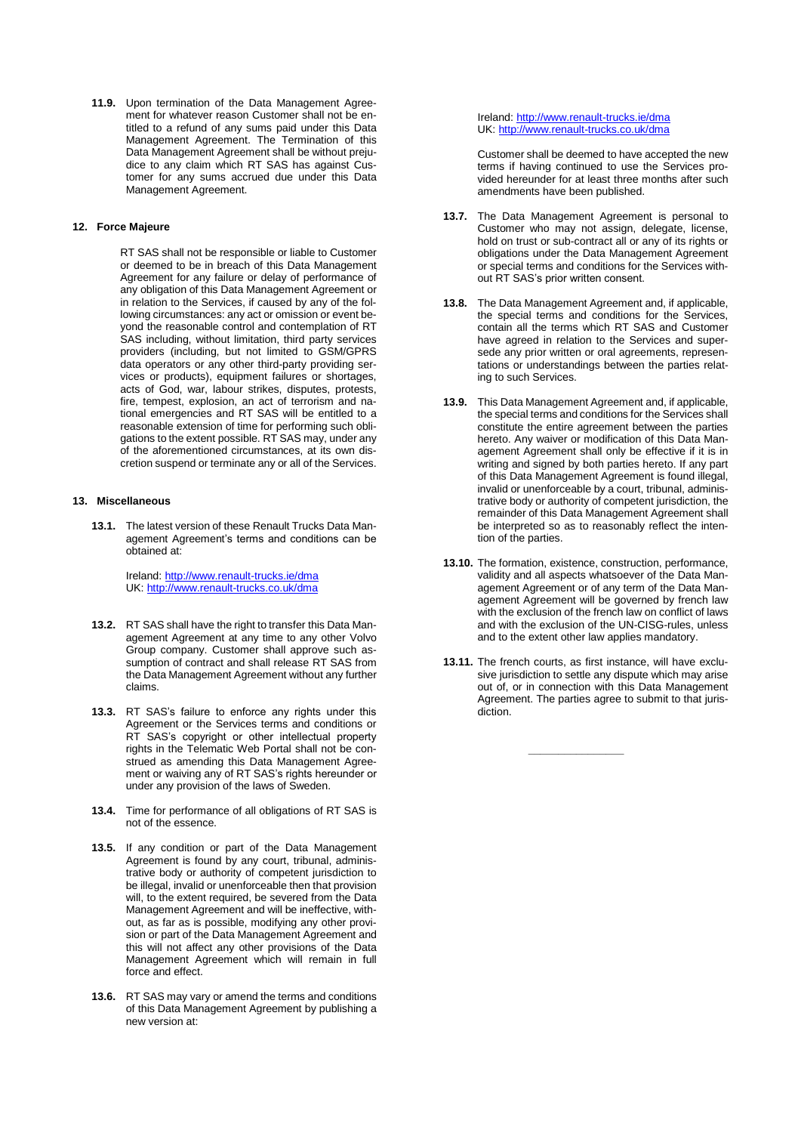**11.9.** Upon termination of the Data Management Agreement for whatever reason Customer shall not be entitled to a refund of any sums paid under this Data Management Agreement. The Termination of this Data Management Agreement shall be without prejudice to any claim which RT SAS has against Customer for any sums accrued due under this Data Management Agreement.

# **12. Force Majeure**

RT SAS shall not be responsible or liable to Customer or deemed to be in breach of this Data Management Agreement for any failure or delay of performance of any obligation of this Data Management Agreement or in relation to the Services, if caused by any of the following circumstances: any act or omission or event beyond the reasonable control and contemplation of RT SAS including, without limitation, third party services providers (including, but not limited to GSM/GPRS data operators or any other third-party providing services or products), equipment failures or shortages, acts of God, war, labour strikes, disputes, protests, fire, tempest, explosion, an act of terrorism and national emergencies and RT SAS will be entitled to a reasonable extension of time for performing such obligations to the extent possible. RT SAS may, under any of the aforementioned circumstances, at its own discretion suspend or terminate any or all of the Services.

# **13. Miscellaneous**

**13.1.** The latest version of these Renault Trucks Data Management Agreement's terms and conditions can be obtained at:

> Ireland: <http://www.renault-trucks.ie/dma> UK: <http://www.renault-trucks.co.uk/dma>

- **13.2.** RT SAS shall have the right to transfer this Data Management Agreement at any time to any other Volvo Group company. Customer shall approve such assumption of contract and shall release RT SAS from the Data Management Agreement without any further claims.
- **13.3.** RT SAS's failure to enforce any rights under this Agreement or the Services terms and conditions or RT SAS's copyright or other intellectual property rights in the Telematic Web Portal shall not be construed as amending this Data Management Agreement or waiving any of RT SAS's rights hereunder or under any provision of the laws of Sweden.
- **13.4.** Time for performance of all obligations of RT SAS is not of the essence.
- **13.5.** If any condition or part of the Data Management Agreement is found by any court, tribunal, administrative body or authority of competent jurisdiction to be illegal, invalid or unenforceable then that provision will, to the extent required, be severed from the Data Management Agreement and will be ineffective, without, as far as is possible, modifying any other provision or part of the Data Management Agreement and this will not affect any other provisions of the Data Management Agreement which will remain in full force and effect.
- <span id="page-5-0"></span>**13.6.** RT SAS may vary or amend the terms and conditions of this Data Management Agreement by publishing a new version at:

Ireland: <http://www.renault-trucks.ie/dma> UK: <http://www.renault-trucks.co.uk/dma>

Customer shall be deemed to have accepted the new terms if having continued to use the Services provided hereunder for at least three months after such amendments have been published.

- **13.7.** The Data Management Agreement is personal to Customer who may not assign, delegate, license, hold on trust or sub-contract all or any of its rights or obligations under the Data Management Agreement or special terms and conditions for the Services without RT SAS's prior written consent.
- **13.8.** The Data Management Agreement and, if applicable, the special terms and conditions for the Services, contain all the terms which RT SAS and Customer have agreed in relation to the Services and supersede any prior written or oral agreements, representations or understandings between the parties relating to such Services.
- **13.9.** This Data Management Agreement and, if applicable, the special terms and conditions for the Services shall constitute the entire agreement between the parties hereto. Any waiver or modification of this Data Management Agreement shall only be effective if it is in writing and signed by both parties hereto. If any part of this Data Management Agreement is found illegal, invalid or unenforceable by a court, tribunal, administrative body or authority of competent jurisdiction, the remainder of this Data Management Agreement shall be interpreted so as to reasonably reflect the intention of the parties.
- <span id="page-5-1"></span>**13.10.** The formation, existence, construction, performance, validity and all aspects whatsoever of the Data Management Agreement or of any term of the Data Management Agreement will be governed by french law with the exclusion of the french law on conflict of laws and with the exclusion of the UN-CISG-rules, unless and to the extent other law applies mandatory.
- <span id="page-5-2"></span>**13.11.** The french courts, as first instance, will have exclusive jurisdiction to settle any dispute which may arise out of, or in connection with this Data Management Agreement. The parties agree to submit to that jurisdiction.

**\_\_\_\_\_\_\_\_\_\_\_\_\_\_\_\_**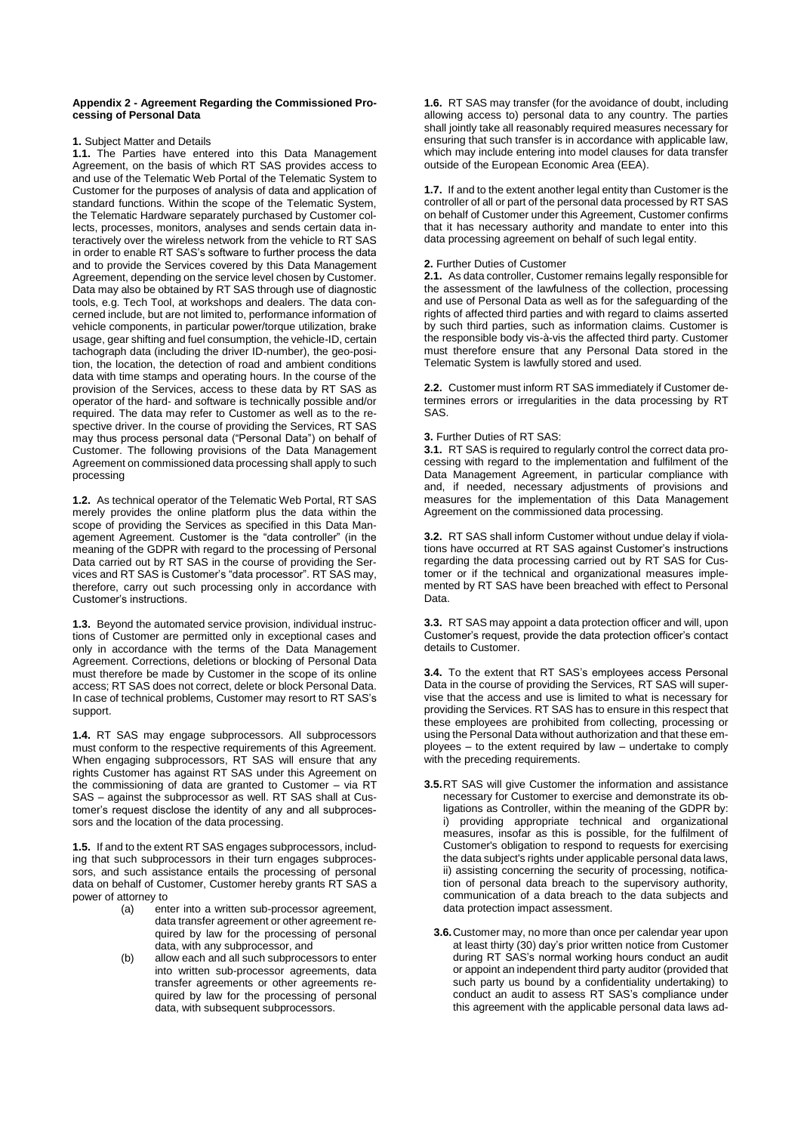#### **Appendix 2 - Agreement Regarding the Commissioned Processing of Personal Data**

# **1.** Subject Matter and Details

**1.1.** The Parties have entered into this Data Management Agreement, on the basis of which RT SAS provides access to and use of the Telematic Web Portal of the Telematic System to Customer for the purposes of analysis of data and application of standard functions. Within the scope of the Telematic System, the Telematic Hardware separately purchased by Customer collects, processes, monitors, analyses and sends certain data interactively over the wireless network from the vehicle to RT SAS in order to enable RT SAS's software to further process the data and to provide the Services covered by this Data Management Agreement, depending on the service level chosen by Customer. Data may also be obtained by RT SAS through use of diagnostic tools, e.g. Tech Tool, at workshops and dealers. The data concerned include, but are not limited to, performance information of vehicle components, in particular power/torque utilization, brake usage, gear shifting and fuel consumption, the vehicle-ID, certain tachograph data (including the driver ID-number), the geo-position, the location, the detection of road and ambient conditions data with time stamps and operating hours. In the course of the provision of the Services, access to these data by RT SAS as operator of the hard- and software is technically possible and/or required. The data may refer to Customer as well as to the respective driver. In the course of providing the Services, RT SAS may thus process personal data ("Personal Data") on behalf of Customer. The following provisions of the Data Management Agreement on commissioned data processing shall apply to such processing

**1.2.** As technical operator of the Telematic Web Portal, RT SAS merely provides the online platform plus the data within the scope of providing the Services as specified in this Data Management Agreement. Customer is the "data controller" (in the meaning of the GDPR with regard to the processing of Personal Data carried out by RT SAS in the course of providing the Services and RT SAS is Customer's "data processor". RT SAS may, therefore, carry out such processing only in accordance with Customer's instructions.

**1.3.** Beyond the automated service provision, individual instructions of Customer are permitted only in exceptional cases and only in accordance with the terms of the Data Management Agreement. Corrections, deletions or blocking of Personal Data must therefore be made by Customer in the scope of its online access; RT SAS does not correct, delete or block Personal Data. In case of technical problems, Customer may resort to RT SAS's support.

**1.4.** RT SAS may engage subprocessors. All subprocessors must conform to the respective requirements of this Agreement. When engaging subprocessors, RT SAS will ensure that any rights Customer has against RT SAS under this Agreement on the commissioning of data are granted to Customer – via RT SAS – against the subprocessor as well. RT SAS shall at Customer's request disclose the identity of any and all subprocessors and the location of the data processing.

**1.5.** If and to the extent RT SAS engages subprocessors, including that such subprocessors in their turn engages subprocessors, and such assistance entails the processing of personal data on behalf of Customer, Customer hereby grants RT SAS a power of attorney to

- (a) enter into a written sub-processor agreement, data transfer agreement or other agreement required by law for the processing of personal data, with any subprocessor, and
- (b) allow each and all such subprocessors to enter into written sub-processor agreements, data transfer agreements or other agreements required by law for the processing of personal data, with subsequent subprocessors.

**1.6.** RT SAS may transfer (for the avoidance of doubt, including allowing access to) personal data to any country. The parties shall jointly take all reasonably required measures necessary for ensuring that such transfer is in accordance with applicable law, which may include entering into model clauses for data transfer outside of the European Economic Area (EEA).

**1.7.** If and to the extent another legal entity than Customer is the controller of all or part of the personal data processed by RT SAS on behalf of Customer under this Agreement, Customer confirms that it has necessary authority and mandate to enter into this data processing agreement on behalf of such legal entity.

# **2.** Further Duties of Customer

**2.1.** As data controller, Customer remains legally responsible for the assessment of the lawfulness of the collection, processing and use of Personal Data as well as for the safeguarding of the rights of affected third parties and with regard to claims asserted by such third parties, such as information claims. Customer is the responsible body vis-à-vis the affected third party. Customer must therefore ensure that any Personal Data stored in the Telematic System is lawfully stored and used.

**2.2.** Customer must inform RT SAS immediately if Customer determines errors or irregularities in the data processing by RT SAS.

# **3.** Further Duties of RT SAS:

**3.1.** RT SAS is required to regularly control the correct data processing with regard to the implementation and fulfilment of the Data Management Agreement, in particular compliance with and, if needed, necessary adjustments of provisions and measures for the implementation of this Data Management Agreement on the commissioned data processing.

**3.2.** RT SAS shall inform Customer without undue delay if violations have occurred at RT SAS against Customer's instructions regarding the data processing carried out by RT SAS for Customer or if the technical and organizational measures implemented by RT SAS have been breached with effect to Personal Data.

**3.3.** RT SAS may appoint a data protection officer and will, upon Customer's request, provide the data protection officer's contact details to Customer.

**3.4.** To the extent that RT SAS's employees access Personal Data in the course of providing the Services, RT SAS will supervise that the access and use is limited to what is necessary for providing the Services. RT SAS has to ensure in this respect that these employees are prohibited from collecting, processing or using the Personal Data without authorization and that these employees – to the extent required by law – undertake to comply with the preceding requirements.

- **3.5.**RT SAS will give Customer the information and assistance necessary for Customer to exercise and demonstrate its obligations as Controller, within the meaning of the GDPR by: i) providing appropriate technical and organizational measures, insofar as this is possible, for the fulfilment of Customer's obligation to respond to requests for exercising the data subject's rights under applicable personal data laws, ii) assisting concerning the security of processing, notification of personal data breach to the supervisory authority, communication of a data breach to the data subjects and data protection impact assessment.
	- **3.6.**Customer may, no more than once per calendar year upon at least thirty (30) day's prior written notice from Customer during RT SAS's normal working hours conduct an audit or appoint an independent third party auditor (provided that such party us bound by a confidentiality undertaking) to conduct an audit to assess RT SAS's compliance under this agreement with the applicable personal data laws ad-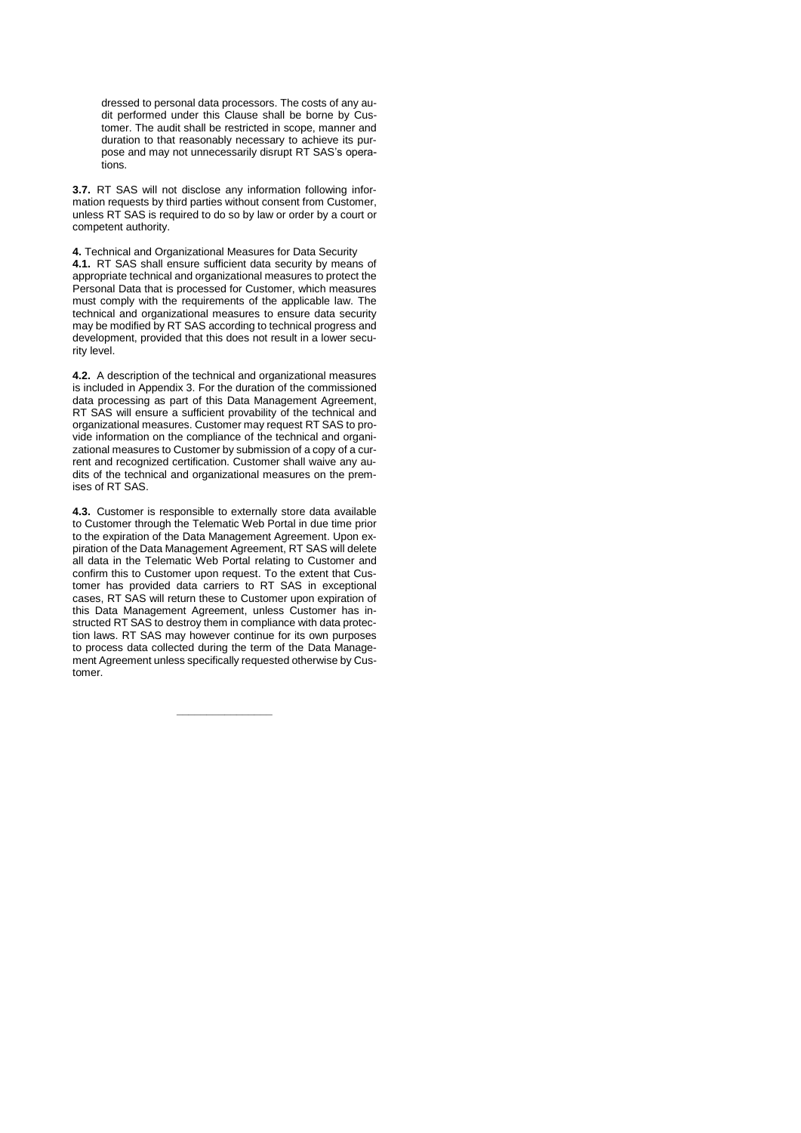dressed to personal data processors. The costs of any audit performed under this Clause shall be borne by Customer. The audit shall be restricted in scope, manner and duration to that reasonably necessary to achieve its purpose and may not unnecessarily disrupt RT SAS's operations.

**3.7.** RT SAS will not disclose any information following information requests by third parties without consent from Customer, unless RT SAS is required to do so by law or order by a court or competent authority.

**4.** Technical and Organizational Measures for Data Security **4.1.** RT SAS shall ensure sufficient data security by means of appropriate technical and organizational measures to protect the Personal Data that is processed for Customer, which measures must comply with the requirements of the applicable law. The technical and organizational measures to ensure data security may be modified by RT SAS according to technical progress and development, provided that this does not result in a lower security level.

**4.2.** A description of the technical and organizational measures is included in Appendix 3. For the duration of the commissioned data processing as part of this Data Management Agreement, RT SAS will ensure a sufficient provability of the technical and organizational measures. Customer may request RT SAS to provide information on the compliance of the technical and organizational measures to Customer by submission of a copy of a current and recognized certification. Customer shall waive any audits of the technical and organizational measures on the premises of RT SAS.

**4.3.** Customer is responsible to externally store data available to Customer through the Telematic Web Portal in due time prior to the expiration of the Data Management Agreement. Upon expiration of the Data Management Agreement, RT SAS will delete all data in the Telematic Web Portal relating to Customer and confirm this to Customer upon request. To the extent that Customer has provided data carriers to RT SAS in exceptional cases, RT SAS will return these to Customer upon expiration of this Data Management Agreement, unless Customer has instructed RT SAS to destroy them in compliance with data protection laws. RT SAS may however continue for its own purposes to process data collected during the term of the Data Management Agreement unless specifically requested otherwise by Customer.

**\_\_\_\_\_\_\_\_\_\_\_\_\_\_\_\_**